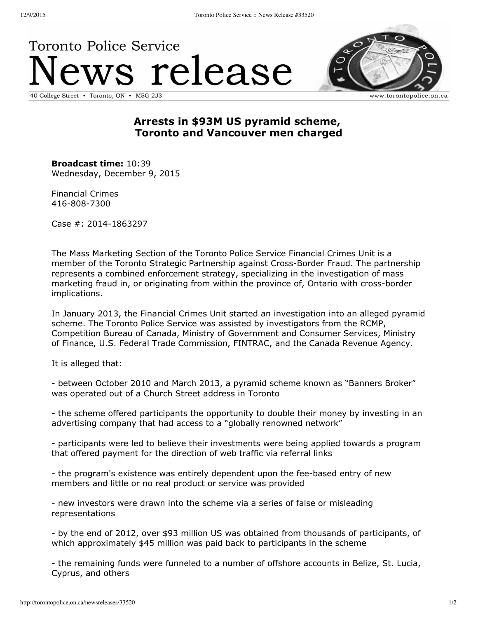## **Toronto Police Service** ws release 40 College Street • Toronto, ON • M5G 2J3



www.torontopolice.on.ca

## **Arrests in \$93M US pyramid scheme, Toronto and Vancouver men charged**

**Broadcast time:** 10:39 Wednesday, December 9, 2015

Financial Crimes 416-808-7300

Case #: 2014-1863297

The Mass Marketing Section of the Toronto Police Service Financial Crimes Unit is a member of the Toronto Strategic Partnership against Cross-Border Fraud. The partnership represents a combined enforcement strategy, specializing in the investigation of mass marketing fraud in, or originating from within the province of, Ontario with cross-border implications.

In January 2013, the Financial Crimes Unit started an investigation into an alleged pyramid scheme. The Toronto Police Service was assisted by investigators from the RCMP, Competition Bureau of Canada, Ministry of Government and Consumer Services, Ministry of Finance, U.S. Federal Trade Commission, FINTRAC, and the Canada Revenue Agency.

It is alleged that:

 between October 2010 and March 2013, a pyramid scheme known as "Banners Broker" was operated out of a Church Street address in Toronto

 the scheme offered participants the opportunity to double their money by investing in an advertising company that had access to a "globally renowned network"

 participants were led to believe their investments were being applied towards a program that offered payment for the direction of web traffic via referral links

- the program's existence was entirely dependent upon the fee-based entry of new members and little or no real product or service was provided

 new investors were drawn into the scheme via a series of false or misleading representations

 by the end of 2012, over \$93 million US was obtained from thousands of participants, of which approximately \$45 million was paid back to participants in the scheme

 the remaining funds were funneled to a number of offshore accounts in Belize, St. Lucia, Cyprus, and others